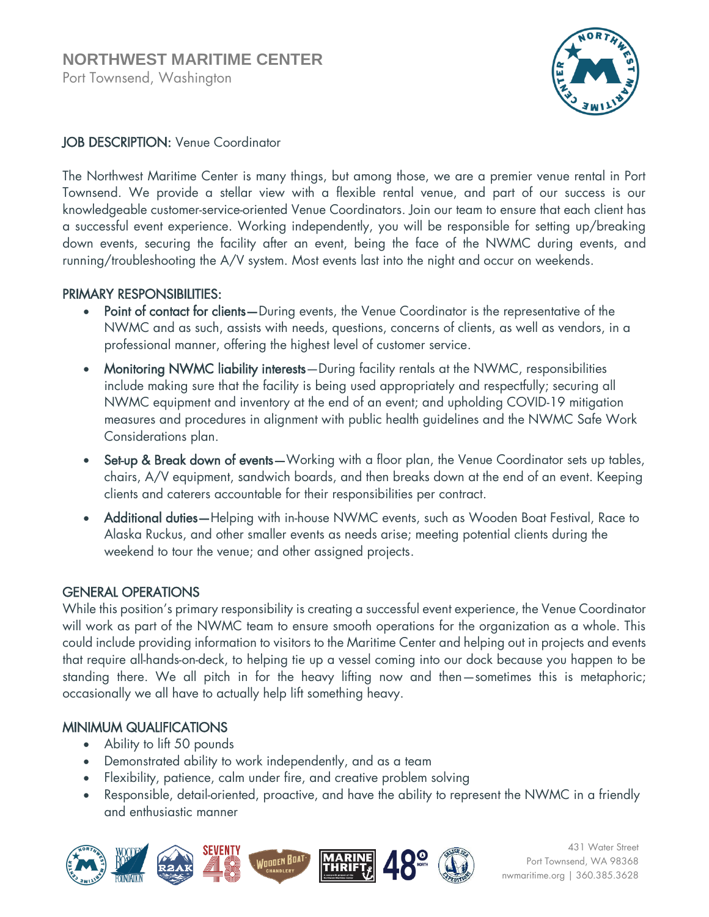

## JOB DESCRIPTION: Venue Coordinator

The Northwest Maritime Center is many things, but among those, we are a premier venue rental in Port Townsend. We provide a stellar view with a flexible rental venue, and part of our success is our knowledgeable customer-service-oriented Venue Coordinators. Join our team to ensure that each client has a successful event experience. Working independently, you will be responsible for setting up/breaking down events, securing the facility after an event, being the face of the NWMC during events, and running/troubleshooting the A/V system. Most events last into the night and occur on weekends.

## PRIMARY RESPONSIBILITIES:

- Point of contact for clients—During events, the Venue Coordinator is the representative of the NWMC and as such, assists with needs, questions, concerns of clients, as well as vendors, in a professional manner, offering the highest level of customer service.
- Monitoring NWMC liability interests—During facility rentals at the NWMC, responsibilities include making sure that the facility is being used appropriately and respectfully; securing all NWMC equipment and inventory at the end of an event; and upholding COVID-19 mitigation measures and procedures in alignment with public health guidelines and the NWMC Safe Work Considerations plan.
- Set-up & Break down of events—Working with a floor plan, the Venue Coordinator sets up tables, chairs, A/V equipment, sandwich boards, and then breaks down at the end of an event. Keeping clients and caterers accountable for their responsibilities per contract.
- Additional duties—Helping with in-house NWMC events, such as Wooden Boat Festival, Race to Alaska Ruckus, and other smaller events as needs arise; meeting potential clients during the weekend to tour the venue; and other assigned projects.

# GENERAL OPERATIONS

While this position's primary responsibility is creating a successful event experience, the Venue Coordinator will work as part of the NWMC team to ensure smooth operations for the organization as a whole. This could include providing information to visitors to the Maritime Center and helping out in projects and events that require all-hands-on-deck, to helping tie up a vessel coming into our dock because you happen to be standing there. We all pitch in for the heavy lifting now and then—sometimes this is metaphoric; occasionally we all have to actually help lift something heavy.

## MINIMUM QUALIFICATIONS

- Ability to lift 50 pounds
- Demonstrated ability to work independently, and as a team
- Flexibility, patience, calm under fire, and creative problem solving
- Responsible, detail-oriented, proactive, and have the ability to represent the NWMC in a friendly and enthusiastic manner



431 Water Street Port Townsend, WA 98368 nwmaritime.org | 360.385.3628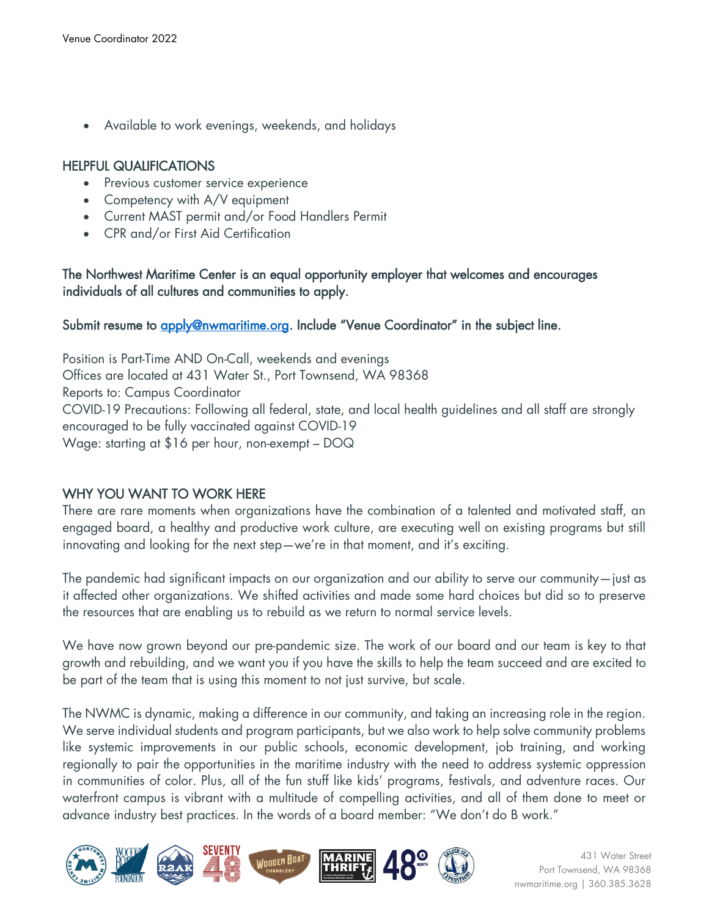Available to work evenings, weekends, and holidays

#### HELPFUL QUALIFICATIONS

- Previous customer service experience
- Competency with A/V equipment
- Current MAST permit and/or Food Handlers Permit
- CPR and/or First Aid Certification

The Northwest Maritime Center is an equal opportunity employer that welcomes and encourages individuals of all cultures and communities to apply.

#### Submit resume to [apply@nwmaritime.org](mailto:apply@nwmaritime.org). Include "Venue Coordinator" in the subject line.

Position is Part-Time AND On-Call, weekends and evenings Offices are located at 431 Water St., Port Townsend, WA 98368 Reports to: Campus Coordinator COVID-19 Precautions: Following all federal, state, and local health guidelines and all staff are strongly encouraged to be fully vaccinated against COVID-19 Wage: starting at \$16 per hour, non-exempt – DOQ

## WHY YOU WANT TO WORK HERE

There are rare moments when organizations have the combination of a talented and motivated staff, an engaged board, a healthy and productive work culture, are executing well on existing programs but still innovating and looking for the next step—we're in that moment, and it's exciting.

The pandemic had significant impacts on our organization and our ability to serve our community—just as it affected other organizations. We shifted activities and made some hard choices but did so to preserve the resources that are enabling us to rebuild as we return to normal service levels.

We have now grown beyond our pre-pandemic size. The work of our board and our team is key to that growth and rebuilding, and we want you if you have the skills to help the team succeed and are excited to be part of the team that is using this moment to not just survive, but scale.

The NWMC is dynamic, making a difference in our community, and taking an increasing role in the region. We serve individual students and program participants, but we also work to help solve community problems like systemic improvements in our public schools, economic development, job training, and working regionally to pair the opportunities in the maritime industry with the need to address systemic oppression in communities of color. Plus, all of the fun stuff like kids' programs, festivals, and adventure races. Our waterfront campus is vibrant with a multitude of compelling activities, and all of them done to meet or advance industry best practices. In the words of a board member: "We don't do B work."